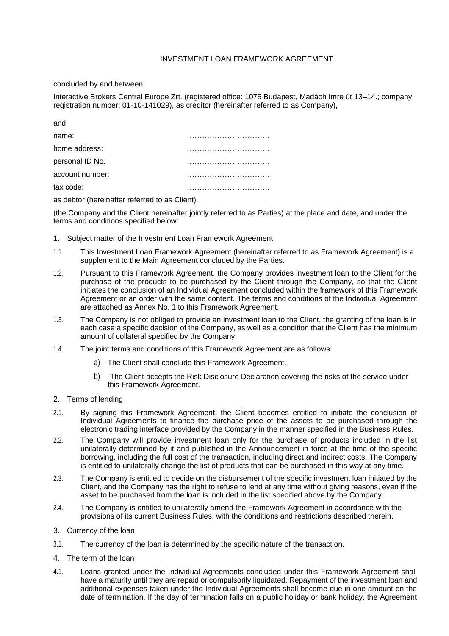# INVESTMENT LOAN FRAMEWORK AGREEMENT

## concluded by and between

Interactive Brokers Central Europe Zrt. (registered office: 1075 Budapest, Madách Imre út 13–14.; company registration number: 01-10-141029), as creditor (hereinafter referred to as Company),

| and             |  |
|-----------------|--|
| name:           |  |
| home address:   |  |
| personal ID No. |  |
| account number: |  |
| tax code:       |  |

as debtor (hereinafter referred to as Client),

(the Company and the Client hereinafter jointly referred to as Parties) at the place and date, and under the terms and conditions specified below:

- 1. Subject matter of the Investment Loan Framework Agreement
- 1.1. This Investment Loan Framework Agreement (hereinafter referred to as Framework Agreement) is a supplement to the Main Agreement concluded by the Parties.
- 1.2. Pursuant to this Framework Agreement, the Company provides investment loan to the Client for the purchase of the products to be purchased by the Client through the Company, so that the Client initiates the conclusion of an Individual Agreement concluded within the framework of this Framework Agreement or an order with the same content. The terms and conditions of the Individual Agreement are attached as Annex No. 1 to this Framework Agreement.
- 1.3. The Company is not obliged to provide an investment loan to the Client, the granting of the loan is in each case a specific decision of the Company, as well as a condition that the Client has the minimum amount of collateral specified by the Company.
- 1.4. The joint terms and conditions of this Framework Agreement are as follows:
	- a) The Client shall conclude this Framework Agreement,
	- b) The Client accepts the Risk Disclosure Declaration covering the risks of the service under this Framework Agreement.
- 2. Terms of lending
- 2.1. By signing this Framework Agreement, the Client becomes entitled to initiate the conclusion of Individual Agreements to finance the purchase price of the assets to be purchased through the electronic trading interface provided by the Company in the manner specified in the Business Rules.
- 2.2. The Company will provide investment loan only for the purchase of products included in the list unilaterally determined by it and published in the Announcement in force at the time of the specific borrowing, including the full cost of the transaction, including direct and indirect costs. The Company is entitled to unilaterally change the list of products that can be purchased in this way at any time.
- 2.3. The Company is entitled to decide on the disbursement of the specific investment loan initiated by the Client, and the Company has the right to refuse to lend at any time without giving reasons, even if the asset to be purchased from the loan is included in the list specified above by the Company.
- 2.4. The Company is entitled to unilaterally amend the Framework Agreement in accordance with the provisions of its current Business Rules, with the conditions and restrictions described therein.
- 3. Currency of the loan
- 3.1. The currency of the loan is determined by the specific nature of the transaction.
- 4. The term of the loan
- 4.1. Loans granted under the Individual Agreements concluded under this Framework Agreement shall have a maturity until they are repaid or compulsorily liquidated. Repayment of the investment loan and additional expenses taken under the Individual Agreements shall become due in one amount on the date of termination. If the day of termination falls on a public holiday or bank holiday, the Agreement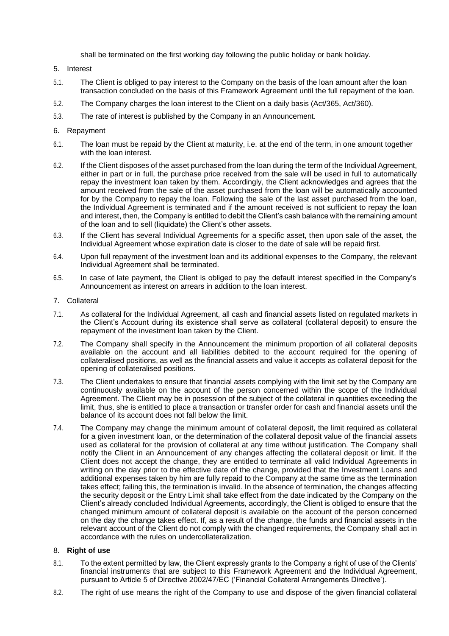shall be terminated on the first working day following the public holiday or bank holiday.

- 5. Interest
- 5.1. The Client is obliged to pay interest to the Company on the basis of the loan amount after the loan transaction concluded on the basis of this Framework Agreement until the full repayment of the loan.
- 5.2. The Company charges the loan interest to the Client on a daily basis (Act/365, Act/360).
- 5.3. The rate of interest is published by the Company in an Announcement.

## 6. Repayment

- 6.1. The loan must be repaid by the Client at maturity, i.e. at the end of the term, in one amount together with the loan interest.
- 6.2. If the Client disposes of the asset purchased from the loan during the term of the Individual Agreement, either in part or in full, the purchase price received from the sale will be used in full to automatically repay the investment loan taken by them. Accordingly, the Client acknowledges and agrees that the amount received from the sale of the asset purchased from the loan will be automatically accounted for by the Company to repay the loan. Following the sale of the last asset purchased from the loan, the Individual Agreement is terminated and if the amount received is not sufficient to repay the loan and interest, then, the Company is entitled to debit the Client's cash balance with the remaining amount of the loan and to sell (liquidate) the Client's other assets.
- 6.3. If the Client has several Individual Agreements for a specific asset, then upon sale of the asset, the Individual Agreement whose expiration date is closer to the date of sale will be repaid first.
- 6.4. Upon full repayment of the investment loan and its additional expenses to the Company, the relevant Individual Agreement shall be terminated.
- 6.5. In case of late payment, the Client is obliged to pay the default interest specified in the Company's Announcement as interest on arrears in addition to the loan interest.
- 7. Collateral
- 7.1. As collateral for the Individual Agreement, all cash and financial assets listed on regulated markets in the Client's Account during its existence shall serve as collateral (collateral deposit) to ensure the repayment of the investment loan taken by the Client.
- 7.2. The Company shall specify in the Announcement the minimum proportion of all collateral deposits available on the account and all liabilities debited to the account required for the opening of collateralised positions, as well as the financial assets and value it accepts as collateral deposit for the opening of collateralised positions.
- 7.3. The Client undertakes to ensure that financial assets complying with the limit set by the Company are continuously available on the account of the person concerned within the scope of the Individual Agreement. The Client may be in posession of the subject of the collateral in quantities exceeding the limit, thus, she is entitled to place a transaction or transfer order for cash and financial assets until the balance of its account does not fall below the limit.
- 7.4. The Company may change the minimum amount of collateral deposit, the limit required as collateral for a given investment loan, or the determination of the collateral deposit value of the financial assets used as collateral for the provision of collateral at any time without justification. The Company shall notify the Client in an Announcement of any changes affecting the collateral deposit or limit. If the Client does not accept the change, they are entitled to terminate all valid Individual Agreements in writing on the day prior to the effective date of the change, provided that the Investment Loans and additional expenses taken by him are fully repaid to the Company at the same time as the termination takes effect; failing this, the termination is invalid. In the absence of termination, the changes affecting the security deposit or the Entry Limit shall take effect from the date indicated by the Company on the Client's already concluded Individual Agreements, accordingly, the Client is obliged to ensure that the changed minimum amount of collateral deposit is available on the account of the person concerned on the day the change takes effect. If, as a result of the change, the funds and financial assets in the relevant account of the Client do not comply with the changed requirements, the Company shall act in accordance with the rules on undercollateralization.

#### 8. **Right of use**

- 8.1. To the extent permitted by law, the Client expressly grants to the Company a right of use of the Clients' financial instruments that are subject to this Framework Agreement and the Individual Agreement, pursuant to Article 5 of Directive 2002/47/EC ('Financial Collateral Arrangements Directive').
- 8.2. The right of use means the right of the Company to use and dispose of the given financial collateral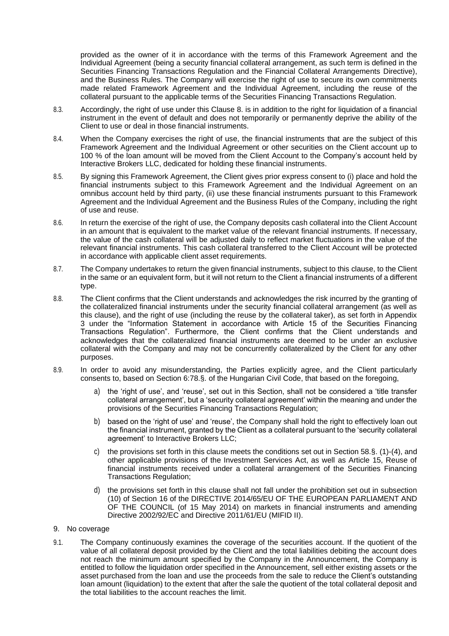provided as the owner of it in accordance with the terms of this Framework Agreement and the Individual Agreement (being a security financial collateral arrangement, as such term is defined in the Securities Financing Transactions Regulation and the Financial Collateral Arrangements Directive), and the Business Rules. The Company will exercise the right of use to secure its own commitments made related Framework Agreement and the Individual Agreement, including the reuse of the collateral pursuant to the applicable terms of the Securities Financing Transactions Regulation.

- 8.3. Accordingly, the right of use under this Clause 8. is in addition to the right for liquidation of a financial instrument in the event of default and does not temporarily or permanently deprive the ability of the Client to use or deal in those financial instruments.
- 8.4. When the Company exercises the right of use, the financial instruments that are the subject of this Framework Agreement and the Individual Agreement or other securities on the Client account up to 100 % of the loan amount will be moved from the Client Account to the Company's account held by Interactive Brokers LLC, dedicated for holding these financial instruments.
- 8.5. By signing this Framework Agreement, the Client gives prior express consent to (i) place and hold the financial instruments subject to this Framework Agreement and the Individual Agreement on an omnibus account held by third party, (ii) use these financial instruments pursuant to this Framework Agreement and the Individual Agreement and the Business Rules of the Company, including the right of use and reuse.
- 8.6. In return the exercise of the right of use, the Company deposits cash collateral into the Client Account in an amount that is equivalent to the market value of the relevant financial instruments. If necessary, the value of the cash collateral will be adjusted daily to reflect market fluctuations in the value of the relevant financial instruments. This cash collateral transferred to the Client Account will be protected in accordance with applicable client asset requirements.
- 8.7. The Company undertakes to return the given financial instruments, subject to this clause, to the Client in the same or an equivalent form, but it will not return to the Client a financial instruments of a different type.
- 8.8. The Client confirms that the Client understands and acknowledges the risk incurred by the granting of the collateralized financial instruments under the security financial collateral arrangement (as well as this clause), and the right of use (including the reuse by the collateral taker), as set forth in Appendix 3 under the "Information Statement in accordance with Article 15 of the Securities Financing Transactions Regulation". Furthermore, the Client confirms that the Client understands and acknowledges that the collateralized financial instruments are deemed to be under an exclusive collateral with the Company and may not be concurrently collateralized by the Client for any other purposes.
- 8.9. In order to avoid any misunderstanding, the Parties explicitly agree, and the Client particularly consents to, based on Section 6:78.§. of the Hungarian Civil Code, that based on the foregoing,
	- a) the 'right of use', and 'reuse', set out in this Section, shall not be considered a 'title transfer collateral arrangement', but a 'security collateral agreement' within the meaning and under the provisions of the Securities Financing Transactions Regulation;
	- b) based on the 'right of use' and 'reuse', the Company shall hold the right to effectively loan out the financial instrument, granted by the Client as a collateral pursuant to the 'security collateral agreement' to Interactive Brokers LLC;
	- c) the provisions set forth in this clause meets the conditions set out in Section 58.§. (1)-(4), and other applicable provisions of the Investment Services Act, as well as Article 15, Reuse of financial instruments received under a collateral arrangement of the Securities Financing Transactions Regulation;
	- d) the provisions set forth in this clause shall not fall under the prohibition set out in subsection (10) of Section 16 of the DIRECTIVE 2014/65/EU OF THE EUROPEAN PARLIAMENT AND OF THE COUNCIL (of 15 May 2014) on markets in financial instruments and amending Directive 2002/92/EC and Directive 2011/61/EU (MIFID II).
- 9. No coverage
- 9.1. The Company continuously examines the coverage of the securities account. If the quotient of the value of all collateral deposit provided by the Client and the total liabilities debiting the account does not reach the minimum amount specified by the Company in the Announcement, the Company is entitled to follow the liquidation order specified in the Announcement, sell either existing assets or the asset purchased from the loan and use the proceeds from the sale to reduce the Client's outstanding loan amount (liquidation) to the extent that after the sale the quotient of the total collateral deposit and the total liabilities to the account reaches the limit.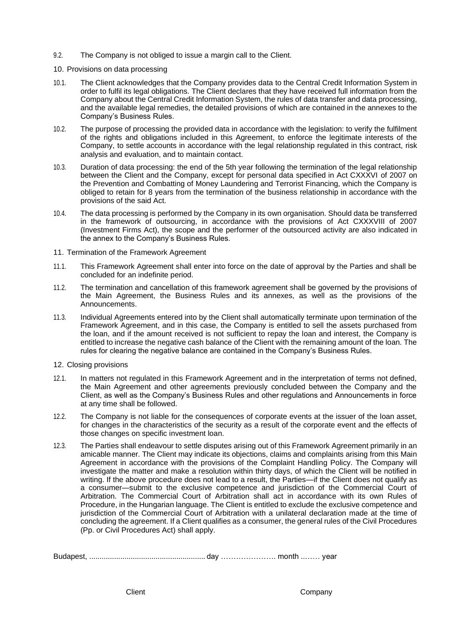- 9.2. The Company is not obliged to issue a margin call to the Client.
- 10. Provisions on data processing
- 10.1. The Client acknowledges that the Company provides data to the Central Credit Information System in order to fulfil its legal obligations. The Client declares that they have received full information from the Company about the Central Credit Information System, the rules of data transfer and data processing, and the available legal remedies, the detailed provisions of which are contained in the annexes to the Company's Business Rules.
- 10.2. The purpose of processing the provided data in accordance with the legislation: to verify the fulfilment of the rights and obligations included in this Agreement, to enforce the legitimate interests of the Company, to settle accounts in accordance with the legal relationship regulated in this contract, risk analysis and evaluation, and to maintain contact.
- 10.3. Duration of data processing: the end of the 5th year following the termination of the legal relationship between the Client and the Company, except for personal data specified in Act CXXXVI of 2007 on the Prevention and Combatting of Money Laundering and Terrorist Financing, which the Company is obliged to retain for 8 years from the termination of the business relationship in accordance with the provisions of the said Act.
- 10.4. The data processing is performed by the Company in its own organisation. Should data be transferred in the framework of outsourcing, in accordance with the provisions of Act CXXXVIII of 2007 (Investment Firms Act), the scope and the performer of the outsourced activity are also indicated in the annex to the Company's Business Rules.
- 11. Termination of the Framework Agreement
- 11.1. This Framework Agreement shall enter into force on the date of approval by the Parties and shall be concluded for an indefinite period.
- 11.2. The termination and cancellation of this framework agreement shall be governed by the provisions of the Main Agreement, the Business Rules and its annexes, as well as the provisions of the Announcements.
- 11.3. Individual Agreements entered into by the Client shall automatically terminate upon termination of the Framework Agreement, and in this case, the Company is entitled to sell the assets purchased from the loan, and if the amount received is not sufficient to repay the loan and interest, the Company is entitled to increase the negative cash balance of the Client with the remaining amount of the loan. The rules for clearing the negative balance are contained in the Company's Business Rules.
- 12. Closing provisions
- 12.1. In matters not regulated in this Framework Agreement and in the interpretation of terms not defined, the Main Agreement and other agreements previously concluded between the Company and the Client, as well as the Company's Business Rules and other regulations and Announcements in force at any time shall be followed.
- 12.2. The Company is not liable for the consequences of corporate events at the issuer of the loan asset, for changes in the characteristics of the security as a result of the corporate event and the effects of those changes on specific investment loan.
- 12.3. The Parties shall endeavour to settle disputes arising out of this Framework Agreement primarily in an amicable manner. The Client may indicate its objections, claims and complaints arising from this Main Agreement in accordance with the provisions of the Complaint Handling Policy. The Company will investigate the matter and make a resolution within thirty days, of which the Client will be notified in writing. If the above procedure does not lead to a result, the Parties—if the Client does not qualify as a consumer—submit to the exclusive competence and jurisdiction of the Commercial Court of Arbitration. The Commercial Court of Arbitration shall act in accordance with its own Rules of Procedure, in the Hungarian language. The Client is entitled to exclude the exclusive competence and jurisdiction of the Commercial Court of Arbitration with a unilateral declaration made at the time of concluding the agreement. If a Client qualifies as a consumer, the general rules of the Civil Procedures (Pp. or Civil Procedures Act) shall apply.

Budapest, ........................................................day …………………. month ..…… year